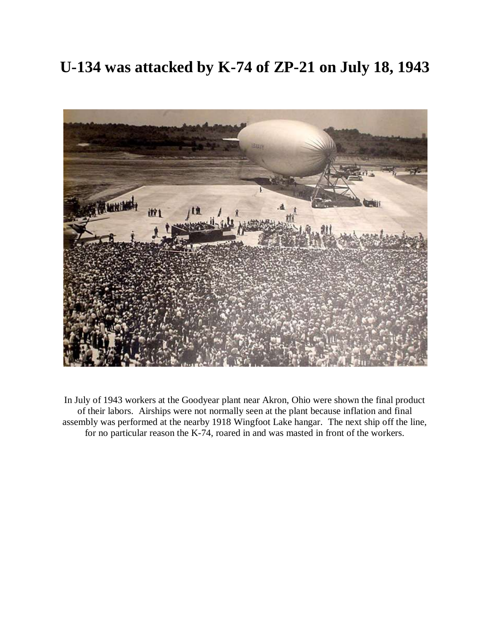## **U-134 was attacked by K-74 of ZP-21 on July 18, 1943**



In July of 1943 workers at the Goodyear plant near Akron, Ohio were shown the final product of their labors. Airships were not normally seen at the plant because inflation and final assembly was performed at the nearby 1918 Wingfoot Lake hangar. The next ship off the line, for no particular reason the K-74, roared in and was masted in front of the workers.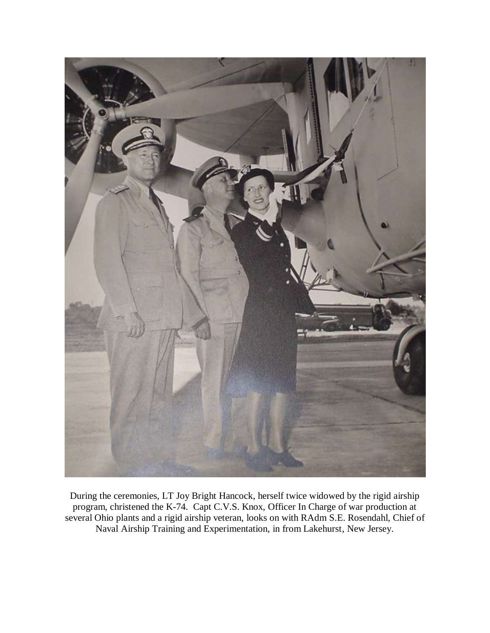

During the ceremonies, LT Joy Bright Hancock, herself twice widowed by the rigid airship program, christened the K-74. Capt C.V.S. Knox, Officer In Charge of war production at several Ohio plants and a rigid airship veteran, looks on with RAdm S.E. Rosendahl, Chief of Naval Airship Training and Experimentation, in from Lakehurst, New Jersey.